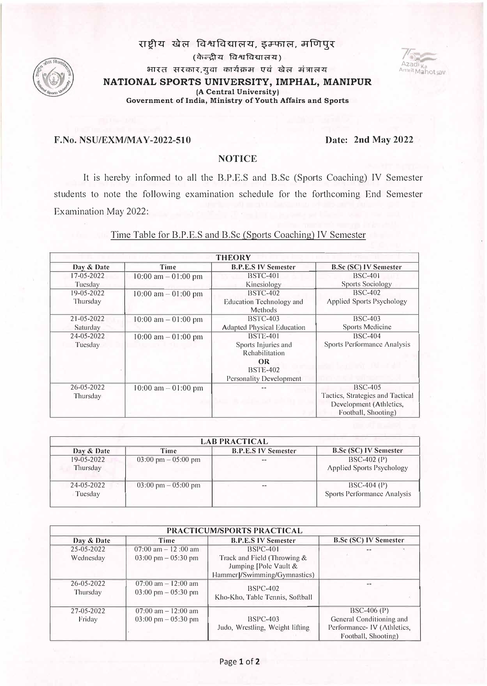# राष्टीय खेल विश्वविद्यालय, इम्फाल, मणिपूर



(केन्द्रीय विश्वविद्यालय) **आरत सरकार,युवा कार्यक्रम एवं खेल मंत्रालय NATIONAL SPORTS UNIVERSITY, IMPHAL, MANIPUR (A Central University) Government oflndia, Ministry of Youth Affairs and Sports** 

## **F.No. NSU/EXM/MAY-2022-510 Date: 2nd May 2022**

mit Mahotsay

## **NOTICE**

It is hereby informed to all the B.P.E.S and B.Sc (Sports Coaching) IV Semester students to note the following examination schedule for the forthcoming End Semester Examination May 2022:

#### Time Table for B.P.E.S and B.Sc (Sports Coaching) IV Semester

|                  | <b>THEORY</b>          |                                            |                                  |  |  |
|------------------|------------------------|--------------------------------------------|----------------------------------|--|--|
| Day & Date       | Time                   | <b>B.P.E.S IV Semester</b>                 | <b>B.Sc (SC) IV Semester</b>     |  |  |
| 17-05-2022       | $10:00$ am $-01:00$ pm | <b>BSTC-401</b>                            | $BSC-401$                        |  |  |
| Tuesday          |                        | Kinesiology                                | <b>Sports Sociology</b>          |  |  |
| 19-05-2022       | 10:00 am $-$ 01:00 pm  | <b>BSTC-402</b>                            | <b>BSC-402</b>                   |  |  |
| Thursday         |                        | <b>Education Technology and</b><br>Methods | Applied Sports Psychology        |  |  |
| $21 - 05 - 2022$ | $10:00$ am $-01:00$ pm | <b>BSTC-403</b>                            | <b>BSC-403</b>                   |  |  |
| Saturday         |                        | <b>Adapted Physical Education</b>          | <b>Sports Medicine</b>           |  |  |
| 24-05-2022       | 10:00 am $-$ 01:00 pm  | $BSTE-401$                                 | <b>BSC-404</b>                   |  |  |
| Tuesday          |                        | Sports Injuries and                        | Sports Performance Analysis      |  |  |
|                  |                        | Rehabilitation                             |                                  |  |  |
|                  |                        | <b>OR</b>                                  |                                  |  |  |
|                  |                        | <b>BSTE-402</b>                            |                                  |  |  |
|                  |                        | Personality Development                    |                                  |  |  |
| $26 - 05 - 2022$ | 10:00 am $-$ 01:00 pm  |                                            | <b>BSC-405</b>                   |  |  |
| Thursday         |                        |                                            | Tactics, Strategies and Tactical |  |  |
|                  |                        |                                            | Development (Athletics,          |  |  |
|                  |                        |                                            | Football, Shooting)              |  |  |

| <b>LAB PRACTICAL</b>         |                                       |                            |                                                     |  |  |
|------------------------------|---------------------------------------|----------------------------|-----------------------------------------------------|--|--|
| Day & Date                   | Time                                  | <b>B.P.E.S IV Semester</b> | <b>B.Sc (SC) IV Semester</b>                        |  |  |
| $19 - 05 - 2022$<br>Thursday | $03:00 \text{ pm} - 05:00 \text{ pm}$ | $- -$                      | $BSC-402(P)$<br>Applied Sports Psychology           |  |  |
| $24 - 05 - 2022$<br>Tuesday  | $03:00 \text{ pm} - 05:00 \text{ pm}$ | --                         | $BSC-404$ (P)<br><b>Sports Performance Analysis</b> |  |  |

| PRACTICUM/SPORTS PRACTICAL   |                                                                 |                                                                                       |                                                                                               |  |  |
|------------------------------|-----------------------------------------------------------------|---------------------------------------------------------------------------------------|-----------------------------------------------------------------------------------------------|--|--|
| Day & Date                   | Time                                                            | <b>B.P.E.S IV Semester</b>                                                            | <b>B.Sc (SC) IV Semester</b>                                                                  |  |  |
| 25-05-2022                   | $07:00$ am $-12:00$ am                                          | $BSPC-401$                                                                            |                                                                                               |  |  |
| Wednesday                    | $03:00 \text{ pm} - 05:30 \text{ pm}$                           | Track and Field (Throwing &<br>Jumping [Pole Vault &<br>Hammer  /Swimming/Gymnastics) |                                                                                               |  |  |
| $26 - 05 - 2022$<br>Thursday | $07:00$ am $-12:00$ am<br>$03:00 \text{ pm} - 05:30 \text{ pm}$ | $BSPC-402$<br>Kho-Kho, Table Tennis, Softball                                         |                                                                                               |  |  |
| $27 - 05 - 2022$<br>Friday   | $07:00$ am $-12:00$ am<br>$03:00 \text{ pm} - 05:30 \text{ pm}$ | $BSPC-403$<br>Judo, Wrestling, Weight lifting                                         | $BSC-406(P)$<br>General Conditioning and<br>Performance-IV (Athletics,<br>Football, Shooting) |  |  |